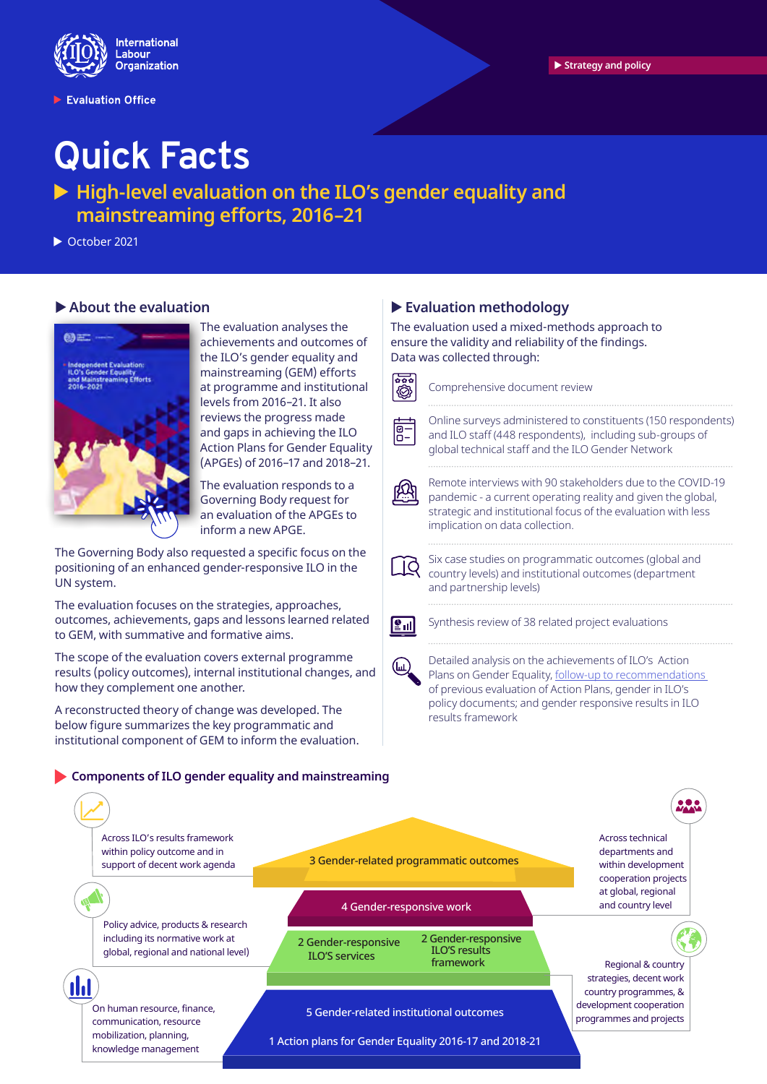

Evaluation Office

# **Quick Facts**

▶ High-level evaluation on the ILO's gender equality and **mainstreaming efforts, 2016–21** 

 $\triangleright$  October 2021

# X **About the evaluation**



The evaluation analyses the achievements and outcomes of the ILO's gender equality and mainstreaming (GEM) efforts at programme and institutional levels from 2016–21. It also reviews the progress made and gaps in achieving the ILO Action Plans for Gender Equality (APGEs) of 2016–17 and 2018–21.

The evaluation responds to a Governing Body request for an evaluation of the APGEs to inform a new APGE.

The Governing Body also requested a specific focus on the positioning of an enhanced gender-responsive ILO in the UN system.

The evaluation focuses on the strategies, approaches, outcomes, achievements, gaps and lessons learned related to GEM, with summative and formative aims.

The scope of the evaluation covers external programme results (policy outcomes), internal institutional changes, and how they complement one another.

A reconstructed theory of change was developed. The below figure summarizes the key programmatic and institutional component of GEM to inform the evaluation.

#### **Components of ILO gender equality and mainstreaming**

# X **Evaluation methodology**

The evaluation used a mixed-methods approach to ensure the validity and reliability of the findings. Data was collected through:



Comprehensive document review

Online surveys administered to constituents (150 respondents) and ILO staff (448 respondents), including sub-groups of global technical staff and the ILO Gender Network



 $\overline{5}$ 

Remote interviews with 90 stakeholders due to the COVID-19 pandemic - a current operating reality and given the global, strategic and institutional focus of the evaluation with less implication on data collection.

Six case studies on programmatic outcomes (global and country levels) and institutional outcomes (department and partnership levels)



(ш)

Synthesis review of 38 related project evaluations

Detailed analysis on the achievements of ILO's Action Plans on Gender Equality, follow-up to recommendations of previous evaluation of Action Plans, gender in ILO's policy documents; and gender responsive results in ILO results framework